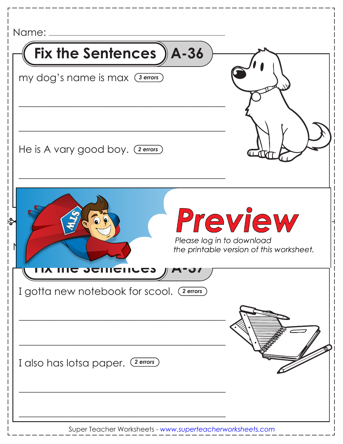| Name: _                                                              |                                                     |
|----------------------------------------------------------------------|-----------------------------------------------------|
| Fix the Sentences ) A-36                                             |                                                     |
| my dog's name is max (3 errors)                                      |                                                     |
|                                                                      |                                                     |
| He is A vary good boy. (2 errors)                                    |                                                     |
| స్థి<br>Please log in to download                                    | Preview<br>the printable version of this worksheet. |
| <b>COMPUTE SULTYIN</b><br>I gotta new notebook for scool. (2 errors) |                                                     |
|                                                                      |                                                     |
| I also has lotsa paper. (2 errors)                                   |                                                     |
|                                                                      |                                                     |

Super Teacher Worksheets - *www.superteacherworksheets.com*

 $\mathsf{l}$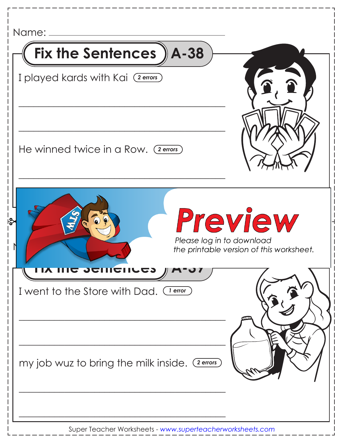| Name:                                                                 |                                                     |
|-----------------------------------------------------------------------|-----------------------------------------------------|
| Fix the Sentences ) A-38                                              |                                                     |
| I played kards with Kai (2 errors)                                    | $\mathbf{P}$                                        |
| He winned twice in a Row. (2 errors)                                  |                                                     |
| မြွ<br>Please log in to download                                      | Preview<br>the printable version of this worksheet. |
| <u>LIY IIIQ JAIIIQIILGJ</u><br>I went to the Store with Dad. (Jerror) |                                                     |
| my job wuz to bring the milk inside. (2 errors)                       |                                                     |
|                                                                       |                                                     |

 $\mathsf{l}$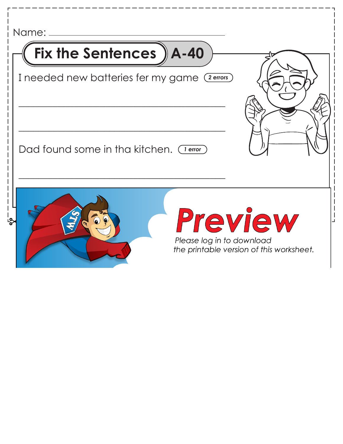| Fix the Sentences ) A-40                      |                           |                                                     |
|-----------------------------------------------|---------------------------|-----------------------------------------------------|
| I needed new batteries fer my game (2 errors) |                           |                                                     |
| Dad found some in tha kitchen. (Terror)       |                           |                                                     |
|                                               | Please log in to download | Preview<br>the printable version of this worksheet. |